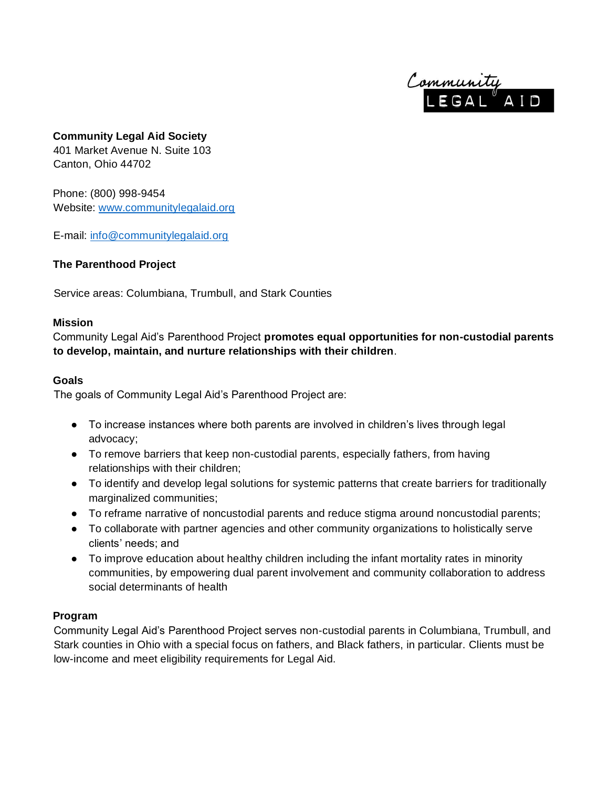

# **Community Legal Aid Society**

401 Market Avenue N. Suite 103 Canton, Ohio 44702

Phone: (800) 998-9454 Website: [www.communitylegalaid.org](http://www.communitylegalaid.org/)

E-mail: [info@communitylegalaid.org](mailto:info@communitylegalaid.org)

## **The Parenthood Project**

Service areas: Columbiana, Trumbull, and Stark Counties

#### **Mission**

Community Legal Aid's Parenthood Project **promotes equal opportunities for non-custodial parents to develop, maintain, and nurture relationships with their children**.

#### **Goals**

The goals of Community Legal Aid's Parenthood Project are:

- To increase instances where both parents are involved in children's lives through legal advocacy;
- To remove barriers that keep non-custodial parents, especially fathers, from having relationships with their children;
- To identify and develop legal solutions for systemic patterns that create barriers for traditionally marginalized communities;
- To reframe narrative of noncustodial parents and reduce stigma around noncustodial parents;
- To collaborate with partner agencies and other community organizations to holistically serve clients' needs; and
- To improve education about healthy children including the infant mortality rates in minority communities, by empowering dual parent involvement and community collaboration to address social determinants of health

### **Program**

Community Legal Aid's Parenthood Project serves non-custodial parents in Columbiana, Trumbull, and Stark counties in Ohio with a special focus on fathers, and Black fathers, in particular. Clients must be low-income and meet eligibility requirements for Legal Aid.